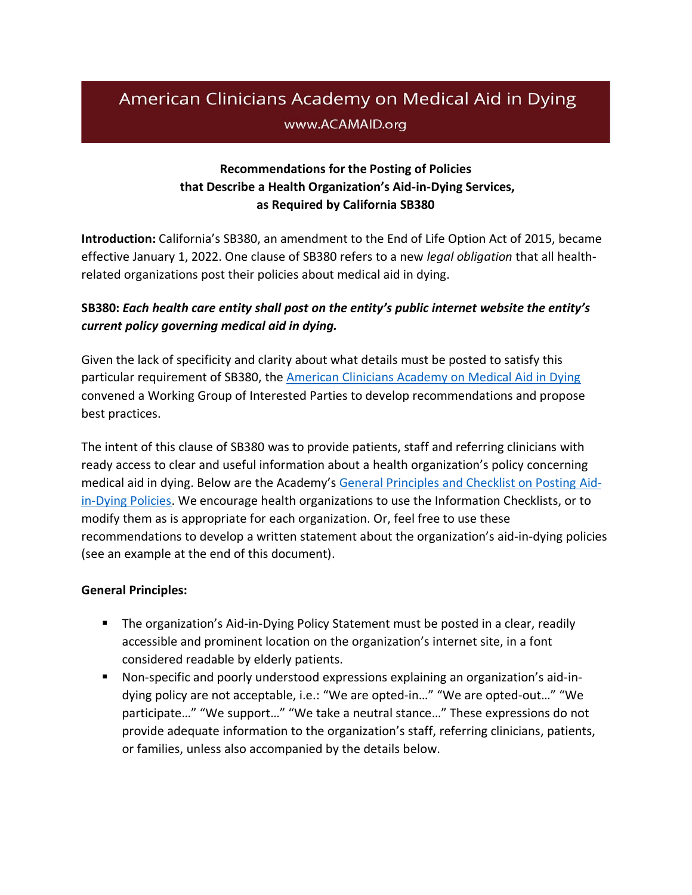# American Clinicians Academy on Medical Aid in Dying www.ACAMAID.org

# **Recommendations for the Posting of Policies that Describe a Health Organization's Aid-in-Dying Services, as Required by California SB380**

**Introduction:** California's SB380, an amendment to the End of Life Option Act of 2015, became effective January 1, 2022. One clause of SB380 refers to a new *legal obligation* that all healthrelated organizations post their policies about medical aid in dying.

# **SB380:** *Each health care entity shall post on the entity's public internet website the entity's current policy governing medical aid in dying.*

Given the lack of specificity and clarity about what details must be posted to satisfy this particular requirement of SB380, the [American Clinicians Academy on Medical Aid in Dying](http://www.acamaid.org/) convened a Working Group of Interested Parties to develop recommendations and propose best practices.

The intent of this clause of SB380 was to provide patients, staff and referring clinicians with ready access to clear and useful information about a health organization's policy concerning medical aid in dying. Below are the Academy's [General Principles and Checklist on Posting Aid](https://www.acamaid.org/sb380policies/)[in-Dying Policies.](https://www.acamaid.org/sb380policies/) We encourage health organizations to use the Information Checklists, or to modify them as is appropriate for each organization. Or, feel free to use these recommendations to develop a written statement about the organization's aid-in-dying policies (see an example at the end of this document).

## **General Principles:**

- **•** The organization's Aid-in-Dying Policy Statement must be posted in a clear, readily accessible and prominent location on the organization's internet site, in a font considered readable by elderly patients.
- Non-specific and poorly understood expressions explaining an organization's aid-indying policy are not acceptable, i.e.: "We are opted-in…" "We are opted-out…" "We participate…" "We support…" "We take a neutral stance…" These expressions do not provide adequate information to the organization's staff, referring clinicians, patients, or families, unless also accompanied by the details below.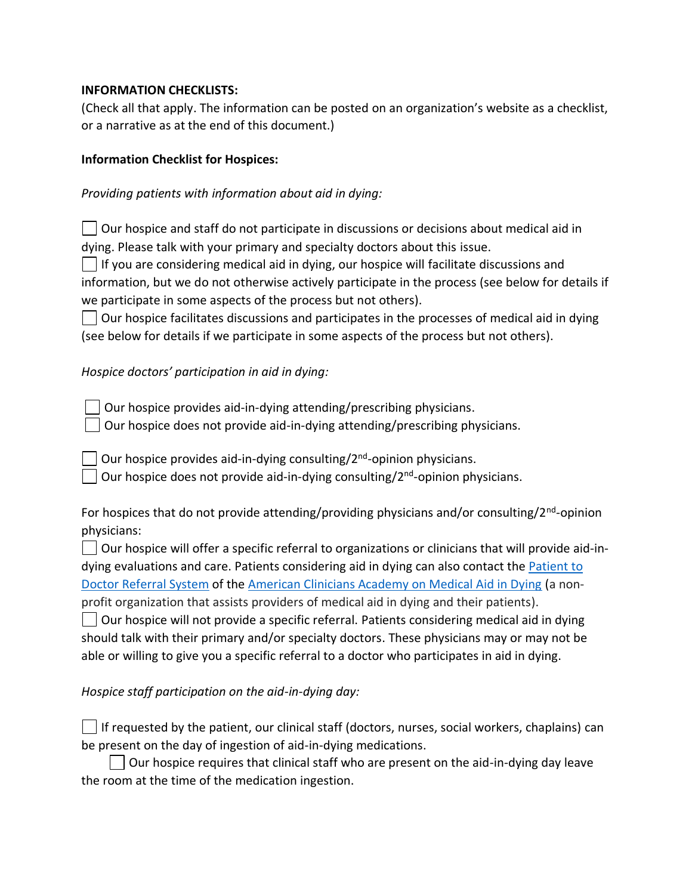#### **INFORMATION CHECKLISTS:**

(Check all that apply. The information can be posted on an organization's website as a checklist, or a narrative as at the end of this document.)

### **Information Checklist for Hospices:**

## *Providing patients with information about aid in dying:*

 $\Box$  Our hospice and staff do not participate in discussions or decisions about medical aid in dying. Please talk with your primary and specialty doctors about this issue.

 $\vert \ \vert$  If you are considering medical aid in dying, our hospice will facilitate discussions and information, but we do not otherwise actively participate in the process (see below for details if we participate in some aspects of the process but not others).

 $\vert \ \vert$  Our hospice facilitates discussions and participates in the processes of medical aid in dying (see below for details if we participate in some aspects of the process but not others).

# *Hospice doctors' participation in aid in dying:*

Our hospice provides aid-in-dying attending/prescribing physicians.

Our hospice does not provide aid-in-dying attending/prescribing physicians.

Our hospice provides aid-in-dying consulting/2<sup>nd</sup>-opinion physicians.

Our hospice does not provide aid-in-dying consulting/2<sup>nd</sup>-opinion physicians.

For hospices that do not provide attending/providing physicians and/or consulting/2<sup>nd</sup>-opinion physicians:

 $\vert \ \vert$  Our hospice will offer a specific referral to organizations or clinicians that will provide aid-indying evaluations and care. Patients considering aid in dying can also contact the [Patient to](https://www.acamaid.org/patientintake/)  [Doctor Referral System](https://www.acamaid.org/patientintake/) of the [American Clinicians Academy on Medical Aid in Dying](http://www.acamaid.org/) (a nonprofit organization that assists providers of medical aid in dying and their patients).

 $\Box$  Our hospice will not provide a specific referral. Patients considering medical aid in dying should talk with their primary and/or specialty doctors. These physicians may or may not be able or willing to give you a specific referral to a doctor who participates in aid in dying.

*Hospice staff participation on the aid-in-dying day:* 

 $\vert\,\,\,\vert$  If requested by the patient, our clinical staff (doctors, nurses, social workers, chaplains) can be present on the day of ingestion of aid-in-dying medications.

 $\vert$   $\vert$  Our hospice requires that clinical staff who are present on the aid-in-dying day leave the room at the time of the medication ingestion.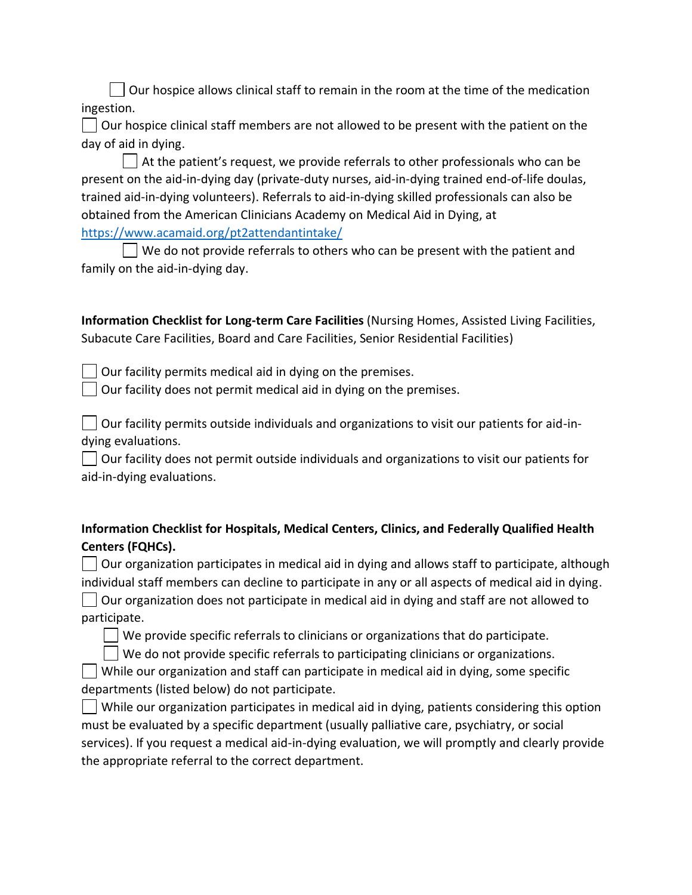$\vert \ \vert$  Our hospice allows clinical staff to remain in the room at the time of the medication ingestion.

 $\vert \ \vert$  Our hospice clinical staff members are not allowed to be present with the patient on the day of aid in dying.

 $\Box$  At the patient's request, we provide referrals to other professionals who can be present on the aid-in-dying day (private-duty nurses, aid-in-dying trained end-of-life doulas, trained aid-in-dying volunteers). Referrals to aid-in-dying skilled professionals can also be obtained from the American Clinicians Academy on Medical Aid in Dying, at <https://www.acamaid.org/pt2attendantintake/>

 $\Box$  We do not provide referrals to others who can be present with the patient and family on the aid-in-dying day.

**Information Checklist for Long-term Care Facilities** (Nursing Homes, Assisted Living Facilities, Subacute Care Facilities, Board and Care Facilities, Senior Residential Facilities)

 $\Box$  Our facility permits medical aid in dying on the premises.

 $\Box$  Our facility does not permit medical aid in dying on the premises.

 $\vert \ \vert$  Our facility permits outside individuals and organizations to visit our patients for aid-indying evaluations.

Our facility does not permit outside individuals and organizations to visit our patients for aid-in-dying evaluations.

| Information Checklist for Hospitals, Medical Centers, Clinics, and Federally Qualified Health |
|-----------------------------------------------------------------------------------------------|
| Centers (FQHCs).                                                                              |

 $\Box$  Our organization participates in medical aid in dying and allows staff to participate, although individual staff members can decline to participate in any or all aspects of medical aid in dying.  $\vert \ \vert$  Our organization does not participate in medical aid in dying and staff are not allowed to participate.

 $\vert \ \vert$  We provide specific referrals to clinicians or organizations that do participate.

 $\vert$   $\vert$  We do not provide specific referrals to participating clinicians or organizations.

While our organization and staff can participate in medical aid in dying, some specific departments (listed below) do not participate.

 $\Box$  While our organization participates in medical aid in dying, patients considering this option must be evaluated by a specific department (usually palliative care, psychiatry, or social services). If you request a medical aid-in-dying evaluation, we will promptly and clearly provide the appropriate referral to the correct department.